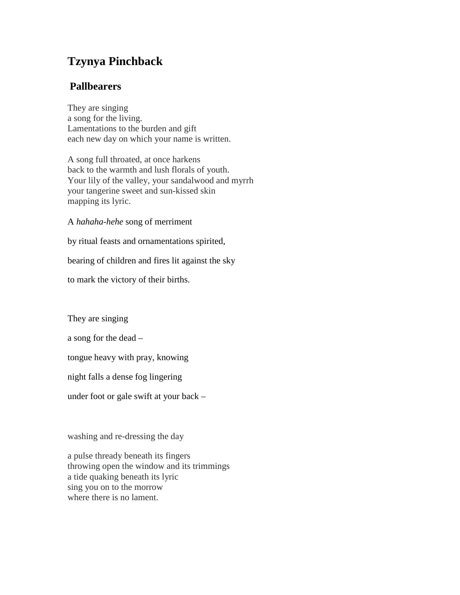## **Tzynya Pinchback**

## **Pallbearers**

They are singing a song for the living. Lamentations to the burden and gift each new day on which your name is written.

A song full throated, at once harkens back to the warmth and lush florals of youth. Your lily of the valley, your sandalwood and myrrh your tangerine sweet and sun-kissed skin mapping its lyric.

A *hahaha-hehe* song of merriment

by ritual feasts and ornamentations spirited,

bearing of children and fires lit against the sky

to mark the victory of their births.

They are singing

a song for the dead –

tongue heavy with pray, knowing

night falls a dense fog lingering

under foot or gale swift at your back –

washing and re-dressing the day

a pulse thready beneath its fingers throwing open the window and its trimmings a tide quaking beneath its lyric sing you on to the morrow where there is no lament.